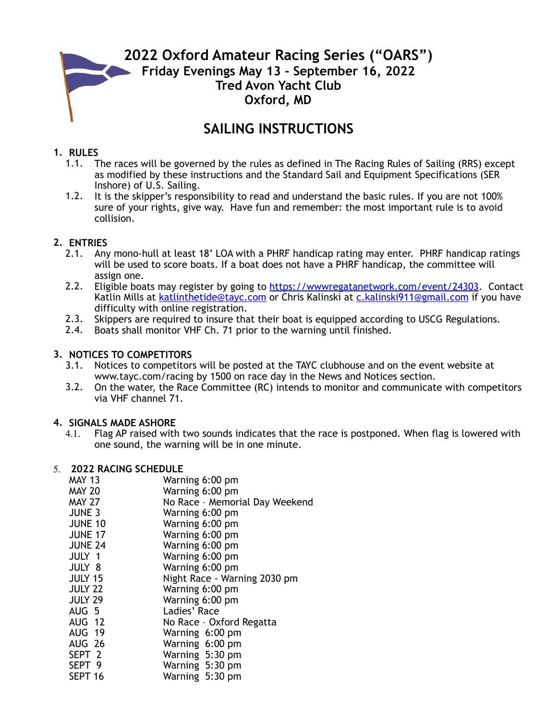# **2022 Oxford Amateur Racing Series ("OARS") Friday Evenings May 13 - September 16, 2022 Tred Avon Yacht Club Oxford, MD**

## **SAILING INSTRUCTIONS**

## **1. RULES**

- 1.1. The races will be governed by the rules as defined in The Racing Rules of Sailing (RRS) except as modified by these instructions and the Standard Sail and Equipment Specifications (SER Inshore) of U.S. Sailing.
- 1.2. It is the skipper's responsibility to read and understand the basic rules. If you are not 100% sure of your rights, give way. Have fun and remember: the most important rule is to avoid collision.

### **2. ENTRIES**

- 2.1. Any mono-hull at least 18' LOA with a PHRF handicap rating may enter. PHRF handicap ratings will be used to score boats. If a boat does not have a PHRF handicap, the committee will assign one.
- 2.2. Eligible boats may register by going to [https://wwwregatanetwork.com/event/24303.](https://wwwregatanetwork.com/event/24303) Contact Katlin Mills at [katlinthetide@tayc.com](mailto:katlinthetide@tayc.com) or Chris Kalinski at [c.kalinski911@gmail.com](mailto:c.kalinski911@gmail.com) if you have difficulty with online registration.
- 2.3. Skippers are required to insure that their boat is equipped according to USCG Regulations.<br>2.4. Boats shall monitor VHF Ch. 71 prior to the warning until finished.
- Boats shall monitor VHF Ch. 71 prior to the warning until finished.

## **3. NOTICES TO COMPETITORS**

- 3.1. Notices to competitors will be posted at the TAYC clubhouse and on the event website at [www.tayc.com/racing](http://www.tayc.com/racing) by 1500 on race day in the News and Notices section.
- 3.2. On the water, the Race Committee (RC) intends to monitor and communicate with competitors via VHF channel 71.

#### **4. SIGNALS MADE ASHORE**

4.1. Flag AP raised with two sounds indicates that the race is postponed. When flag is lowered with one sound, the warning will be in one minute.

#### 5. **2022 RACING SCHEDULE**

| MAY 13            | Warning 6:00 pm                |
|-------------------|--------------------------------|
| MAY 20            | Warning 6:00 pm                |
| MAY 27            | No Race - Memorial Day Weekend |
| JUNE 3            | Warning 6:00 pm                |
| <b>JUNE 10</b>    | Warning 6:00 pm                |
| <b>JUNE 17</b>    | Warning 6:00 pm                |
| <b>JUNE 24</b>    | Warning 6:00 pm                |
| JULY 1            | Warning 6:00 pm                |
| JULY 8            | Warning 6:00 pm                |
| <b>JULY 15</b>    | Night Race - Warning 2030 pm   |
| <b>JULY 22</b>    | Warning 6:00 pm                |
| <b>JULY 29</b>    | Warning 6:00 pm                |
| AUG 5             | Ladies' Race                   |
| AUG 12            | No Race - Oxford Regatta       |
| AUG 19            | Warning 6:00 pm                |
| AUG 26            | Warning 6:00 pm                |
| SEPT <sub>2</sub> | Warning 5:30 pm                |
| SEPT 9            | Warning 5:30 pm                |
| SEPT 16           | Warning 5:30 pm                |
|                   |                                |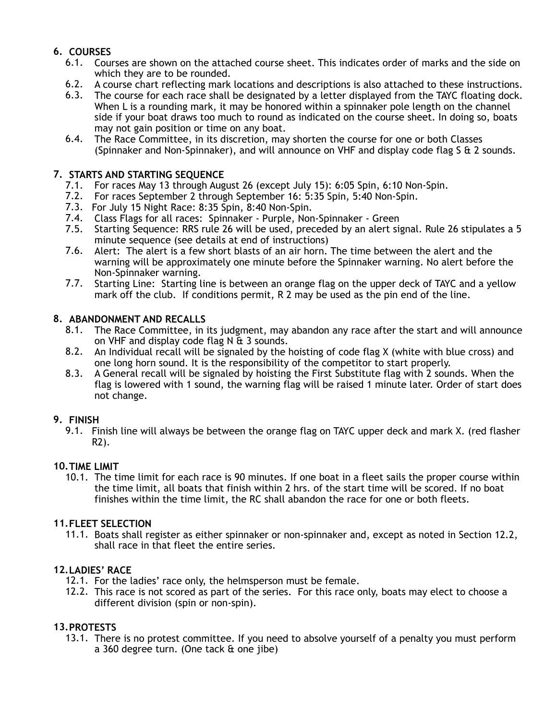## **6. COURSES**

- 6.1. Courses are shown on the attached course sheet. This indicates order of marks and the side on which they are to be rounded.
- 6.2. A course chart reflecting mark locations and descriptions is also attached to these instructions.<br>6.3. The course for each race shall be designated by a letter displayed from the TAYC floating dock.
- The course for each race shall be designated by a letter displayed from the TAYC floating dock. When L is a rounding mark, it may be honored within a spinnaker pole length on the channel side if your boat draws too much to round as indicated on the course sheet. In doing so, boats may not gain position or time on any boat.
- 6.4. The Race Committee, in its discretion, may shorten the course for one or both Classes (Spinnaker and Non-Spinnaker), and will announce on VHF and display code flag S & 2 sounds.

## **7. STARTS AND STARTING SEQUENCE**

- 7.1. For races May 13 through August 26 (except July 15): 6:05 Spin, 6:10 Non-Spin.
- 7.2. For races September 2 through September 16: 5:35 Spin, 5:40 Non-Spin.
- 7.3. For July 15 Night Race: 8:35 Spin, 8:40 Non-Spin.
- 7.4. Class Flags for all races: Spinnaker Purple, Non-Spinnaker Green
- 7.5. Starting Sequence: RRS rule 26 will be used, preceded by an alert signal. Rule 26 stipulates a 5 minute sequence (see details at end of instructions)
- 7.6. Alert: The alert is a few short blasts of an air horn. The time between the alert and the warning will be approximately one minute before the Spinnaker warning. No alert before the Non-Spinnaker warning.
- 7.7. Starting Line: Starting line is between an orange flag on the upper deck of TAYC and a yellow mark off the club. If conditions permit, R 2 may be used as the pin end of the line.

#### **8. ABANDONMENT AND RECALLS**

- 8.1. The Race Committee, in its judgment, may abandon any race after the start and will announce on VHF and display code flag N  $\overline{a}$  3 sounds.
- 8.2. An Individual recall will be signaled by the hoisting of code flag X (white with blue cross) and one long horn sound. It is the responsibility of the competitor to start properly.
- 8.3. A General recall will be signaled by hoisting the First Substitute flag with 2 sounds. When the flag is lowered with 1 sound, the warning flag will be raised 1 minute later. Order of start does not change.

## **9. FINISH**

9.1. Finish line will always be between the orange flag on TAYC upper deck and mark X. (red flasher R2).

## **10.TIME LIMIT**

10.1. The time limit for each race is 90 minutes. If one boat in a fleet sails the proper course within the time limit, all boats that finish within 2 hrs. of the start time will be scored. If no boat finishes within the time limit, the RC shall abandon the race for one or both fleets.

#### **11.FLEET SELECTION**

11.1. Boats shall register as either spinnaker or non-spinnaker and, except as noted in Section 12.2, shall race in that fleet the entire series.

## **12.LADIES' RACE**

- 12.1. For the ladies' race only, the helmsperson must be female.
- 12.2. This race is not scored as part of the series. For this race only, boats may elect to choose a different division (spin or non-spin).

#### **13.PROTESTS**

13.1. There is no protest committee. If you need to absolve yourself of a penalty you must perform a 360 degree turn. (One tack & one jibe)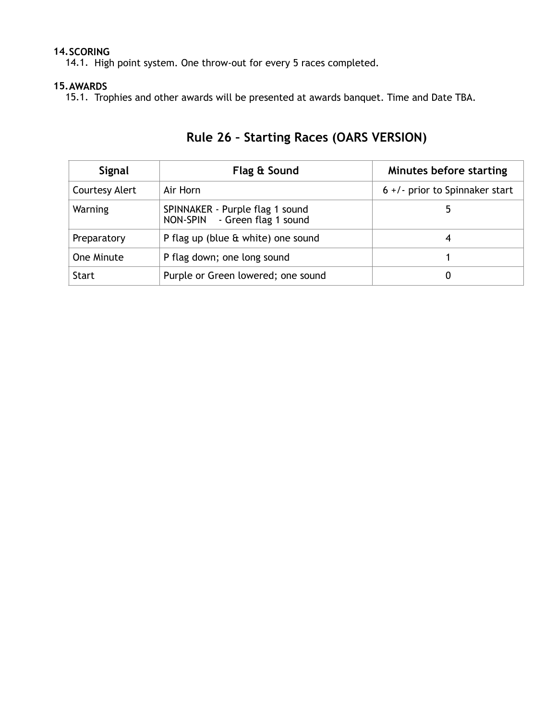## **14.SCORING**

14.1. High point system. One throw-out for every 5 races completed.

### **15.AWARDS**

15.1. Trophies and other awards will be presented at awards banquet. Time and Date TBA.

| Signal                | Flag & Sound                                                     | Minutes before starting           |
|-----------------------|------------------------------------------------------------------|-----------------------------------|
| <b>Courtesy Alert</b> | Air Horn                                                         | $6 +$ /- prior to Spinnaker start |
| Warning               | SPINNAKER - Purple flag 1 sound<br>NON-SPIN - Green flag 1 sound |                                   |
| Preparatory           | P flag up (blue & white) one sound                               | 4                                 |
| One Minute            | P flag down; one long sound                                      |                                   |
| <b>Start</b>          | Purple or Green lowered; one sound                               | U                                 |

# **Rule 26 – Starting Races (OARS VERSION)**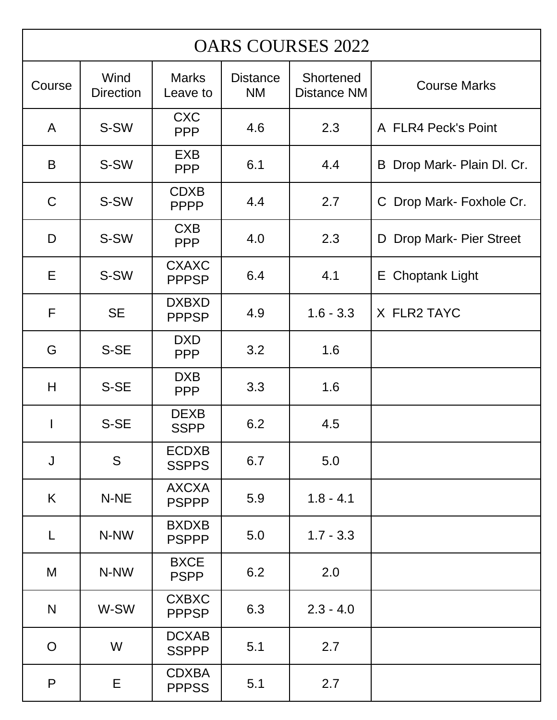| <b>OARS COURSES 2022</b> |                          |                              |                              |                                 |                            |  |  |
|--------------------------|--------------------------|------------------------------|------------------------------|---------------------------------|----------------------------|--|--|
| Course                   | Wind<br><b>Direction</b> | <b>Marks</b><br>Leave to     | <b>Distance</b><br><b>NM</b> | Shortened<br><b>Distance NM</b> | <b>Course Marks</b>        |  |  |
| A                        | S-SW                     | <b>CXC</b><br><b>PPP</b>     | 4.6                          | 2.3                             | A FLR4 Peck's Point        |  |  |
| B                        | S-SW                     | <b>EXB</b><br><b>PPP</b>     | 6.1                          | 4.4                             | B Drop Mark- Plain Dl. Cr. |  |  |
| $\mathsf C$              | S-SW                     | <b>CDXB</b><br><b>PPPP</b>   | 4.4                          | 2.7                             | C Drop Mark- Foxhole Cr.   |  |  |
| D                        | S-SW                     | <b>CXB</b><br><b>PPP</b>     | 4.0                          | 2.3                             | D Drop Mark- Pier Street   |  |  |
| E                        | S-SW                     | <b>CXAXC</b><br><b>PPPSP</b> | 6.4                          | 4.1                             | E Choptank Light           |  |  |
| F                        | <b>SE</b>                | <b>DXBXD</b><br><b>PPPSP</b> | 4.9                          | $1.6 - 3.3$                     | X FLR2 TAYC                |  |  |
| G                        | S-SE                     | <b>DXD</b><br><b>PPP</b>     | 3.2                          | 1.6                             |                            |  |  |
| H                        | S-SE                     | <b>DXB</b><br><b>PPP</b>     | 3.3                          | 1.6                             |                            |  |  |
| I                        | S-SE                     | <b>DEXB</b><br><b>SSPP</b>   | 6.2                          | 4.5                             |                            |  |  |
| $\mathsf J$              | S                        | <b>ECDXB</b><br><b>SSPPS</b> | 6.7                          | 5.0                             |                            |  |  |
| K                        | N-NE                     | <b>AXCXA</b><br><b>PSPPP</b> | 5.9                          | $1.8 - 4.1$                     |                            |  |  |
| L                        | N-NW                     | <b>BXDXB</b><br><b>PSPPP</b> | 5.0                          | $1.7 - 3.3$                     |                            |  |  |
| M                        | N-NW                     | <b>BXCE</b><br><b>PSPP</b>   | 6.2                          | 2.0                             |                            |  |  |
| N                        | W-SW                     | <b>CXBXC</b><br><b>PPPSP</b> | 6.3                          | $2.3 - 4.0$                     |                            |  |  |
| $\overline{O}$           | W                        | <b>DCXAB</b><br><b>SSPPP</b> | 5.1                          | 2.7                             |                            |  |  |
| $\mathsf{P}$             | E                        | <b>CDXBA</b><br><b>PPPSS</b> | 5.1                          | 2.7                             |                            |  |  |